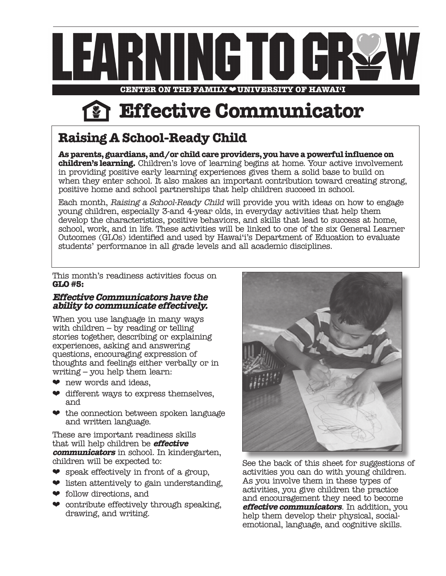

**Effective Communicator**

# **Raising A School-Ready Child**

**As parents, guardians, and/or child care providers, you have a powerful influence on children's learning.** Children's love of learning begins at home. Your active involvement in providing positive early learning experiences gives them a solid base to build on when they enter school. It also makes an important contribution toward creating strong, positive home and school partnerships that help children succeed in school.

Each month, Raising a School-Ready Child will provide you with ideas on how to engage young children, especially 3-and 4-year olds, in everyday activities that help them develop the characteristics, positive behaviors, and skills that lead to success at home, school, work, and in life. These activities will be linked to one of the six General Learner Outcomes (GLOs) identified and used by Hawai'i's Department of Education to evaluate students' performance in all grade levels and all academic disciplines.

This month's readiness activities focus on **GLO #5:**

## **Effective Communicators have the ability to communicate effectively.**

When you use language in many ways with children – by reading or telling stories together, describing or explaining experiences, asking and answering questions, encouraging expression of thoughts and feelings either verbally or in writing – you help them learn:

- $\bullet$  new words and ideas,
- $\bullet$  different ways to express themselves, and
- ❤ the connection between spoken language and written language.

These are important readiness skills that will help children be **effective communicators** in school. In kindergarten, children will be expected to:

- $\bullet$  speak effectively in front of a group,
- $\bullet$  listen attentively to gain understanding,
- ❤ follow directions, and
- $\bullet$  contribute effectively through speaking, drawing, and writing.



See the back of this sheet for suggestions of activities you can do with young children. As you involve them in these types of activities, you give children the practice and encouragement they need to become **effective communicators**. In addition, you help them develop their physical, socialemotional, language, and cognitive skills.